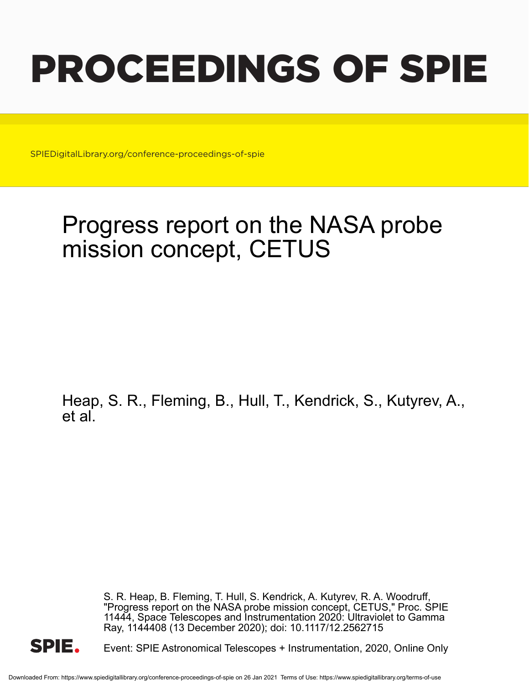# PROCEEDINGS OF SPIE

SPIEDigitalLibrary.org/conference-proceedings-of-spie

## Progress report on the NASA probe mission concept, CETUS

Heap, S. R., Fleming, B., Hull, T., Kendrick, S., Kutyrev, A., et al.

> S. R. Heap, B. Fleming, T. Hull, S. Kendrick, A. Kutyrev, R. A. Woodruff, "Progress report on the NASA probe mission concept, CETUS," Proc. SPIE 11444, Space Telescopes and Instrumentation 2020: Ultraviolet to Gamma Ray, 1144408 (13 December 2020); doi: 10.1117/12.2562715



Event: SPIE Astronomical Telescopes + Instrumentation, 2020, Online Only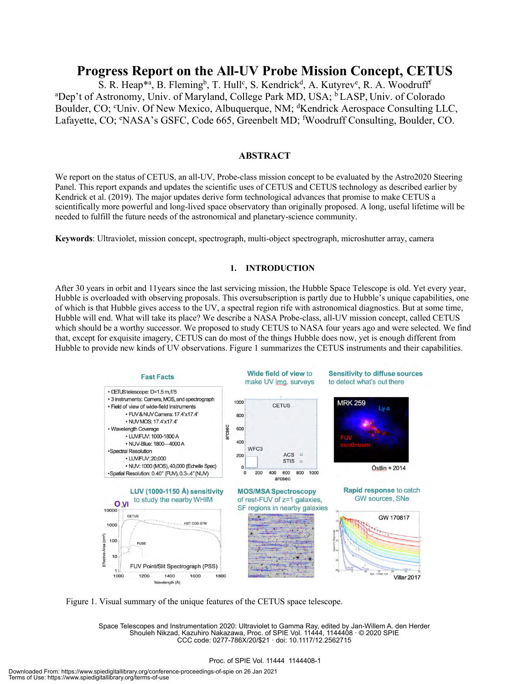### **Progress Report on the All-UV Probe Mission Concept, CETUS**

S. R. Heap\*<sup>a</sup>, B. Fleming<sup>b</sup>, T. Hull<sup>c</sup>, S. Kendrick<sup>d</sup>, A. Kutyrev<sup>e</sup>, R. A. Woodruff<sup>f</sup> <sup>a</sup>Dep't of Astronomy, Univ. of Maryland, College Park MD, USA; <sup>b</sup> LASP, Univ. of Colorado Boulder, CO; <sup>c</sup>Univ. Of New Mexico, Albuquerque, NM; <sup>d</sup>Kendrick Aerospace Consulting LLC, Lafayette, CO; <sup>e</sup>NASA's GSFC, Code 665, Greenbelt MD; <sup>f</sup>Woodruff Consulting, Boulder, CO.

#### **ABSTRACT**

We report on the status of CETUS, an all-UV, Probe-class mission concept to be evaluated by the Astro2020 Steering Panel. This report expands and updates the scientific uses of CETUS and CETUS technology as described earlier by Kendrick et al. (2019). The major updates derive form technological advances that promise to make CETUS a scientifically more powerful and long-lived space observatory than originally proposed. A long, useful lifetime will be needed to fulfill the future needs of the astronomical and planetary-science community.

**Keywords**: Ultraviolet, mission concept, spectrograph, multi-object spectrograph, microshutter array, camera

#### **1. INTRODUCTION**

After 30 years in orbit and 11years since the last servicing mission, the Hubble Space Telescope is old. Yet every year, Hubble is overloaded with observing proposals. This oversubscription is partly due to Hubble's unique capabilities, one of which is that Hubble gives access to the UV, a spectral region rife with astronomical diagnostics. But at some time, Hubble will end. What will take its place? We describe a NASA Probe-class, all-UV mission concept, called CETUS which should be a worthy successor. We proposed to study CETUS to NASA four years ago and were selected. We find that, except for exquisite imagery, CETUS can do most of the things Hubble does now, yet is enough different from Hubble to provide new kinds of UV observations. Figure 1 summarizes the CETUS instruments and their capabilities.



Figure 1. Visual summary of the unique features of the CETUS space telescope.

Space Telescopes and Instrumentation 2020: Ultraviolet to Gamma Ray, edited by Jan-Willem A. den Herder Shouleh Nikzad, Kazuhiro Nakazawa, Proc. of SPIE Vol. 11444, 1144408 · © 2020 SPIE CCC code: 0277-786X/20/\$21 · doi: 10.1117/12.2562715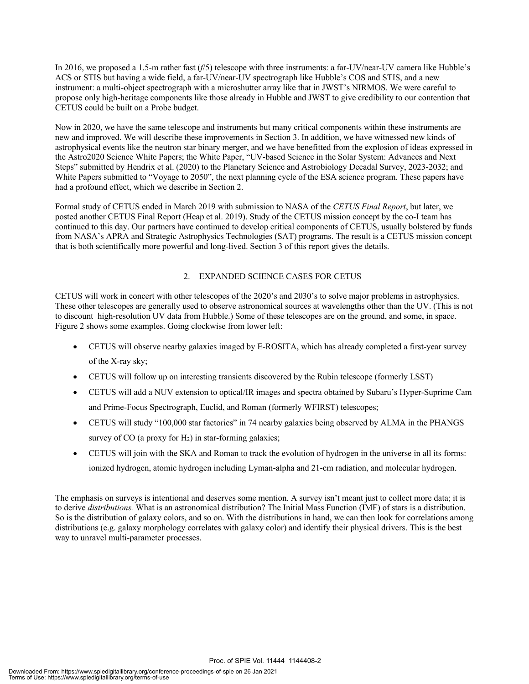In 2016, we proposed a 1.5-m rather fast (*f*/5) telescope with three instruments: a far-UV/near-UV camera like Hubble's ACS or STIS but having a wide field, a far-UV/near-UV spectrograph like Hubble's COS and STIS, and a new instrument: a multi-object spectrograph with a microshutter array like that in JWST's NIRMOS. We were careful to propose only high-heritage components like those already in Hubble and JWST to give credibility to our contention that CETUS could be built on a Probe budget.

Now in 2020, we have the same telescope and instruments but many critical components within these instruments are new and improved. We will describe these improvements in Section 3. In addition, we have witnessed new kinds of astrophysical events like the neutron star binary merger, and we have benefitted from the explosion of ideas expressed in the Astro2020 Science White Papers; the White Paper, "UV-based Science in the Solar System: Advances and Next Steps" submitted by Hendrix et al. (2020) to the Planetary Science and Astrobiology Decadal Survey, 2023-2032; and White Papers submitted to "Voyage to 2050", the next planning cycle of the ESA science program. These papers have had a profound effect, which we describe in Section 2.

Formal study of CETUS ended in March 2019 with submission to NASA of the *CETUS Final Report*, but later, we posted another CETUS Final Report (Heap et al. 2019). Study of the CETUS mission concept by the co-I team has continued to this day. Our partners have continued to develop critical components of CETUS, usually bolstered by funds from NASA's APRA and Strategic Astrophysics Technologies (SAT) programs. The result is a CETUS mission concept that is both scientifically more powerful and long-lived. Section 3 of this report gives the details.

#### 2. EXPANDED SCIENCE CASES FOR CETUS

CETUS will work in concert with other telescopes of the 2020's and 2030's to solve major problems in astrophysics. These other telescopes are generally used to observe astronomical sources at wavelengths other than the UV. (This is not to discount high-resolution UV data from Hubble.) Some of these telescopes are on the ground, and some, in space. Figure 2 shows some examples. Going clockwise from lower left:

- CETUS will observe nearby galaxies imaged by E-ROSITA, which has already completed a first-year survey of the X-ray sky;
- CETUS will follow up on interesting transients discovered by the Rubin telescope (formerly LSST)
- CETUS will add a NUV extension to optical/IR images and spectra obtained by Subaru's Hyper-Suprime Cam and Prime-Focus Spectrograph, Euclid, and Roman (formerly WFIRST) telescopes;
- CETUS will study "100,000 star factories" in 74 nearby galaxies being observed by ALMA in the PHANGS survey of  $CO$  (a proxy for  $H_2$ ) in star-forming galaxies;
- CETUS will join with the SKA and Roman to track the evolution of hydrogen in the universe in all its forms: ionized hydrogen, atomic hydrogen including Lyman-alpha and 21-cm radiation, and molecular hydrogen.

The emphasis on surveys is intentional and deserves some mention. A survey isn't meant just to collect more data; it is to derive *distributions.* What is an astronomical distribution? The Initial Mass Function (IMF) of stars is a distribution. So is the distribution of galaxy colors, and so on. With the distributions in hand, we can then look for correlations among distributions (e.g. galaxy morphology correlates with galaxy color) and identify their physical drivers. This is the best way to unravel multi-parameter processes.

Proc. of SPIE Vol. 11444 1144408-2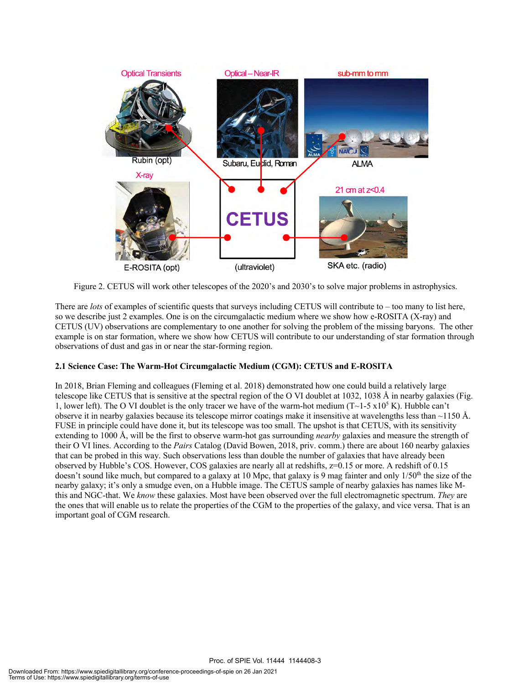

Figure 2. CETUS will work other telescopes of the 2020's and 2030's to solve major problems in astrophysics.

There are *lots* of examples of scientific quests that surveys including CETUS will contribute to – too many to list here, so we describe just 2 examples. One is on the circumgalactic medium where we show how e-ROSITA (X-ray) and CETUS (UV) observations are complementary to one another for solving the problem of the missing baryons. The other example is on star formation, where we show how CETUS will contribute to our understanding of star formation through observations of dust and gas in or near the star-forming region.

#### **2.1 Science Case: The Warm-Hot Circumgalactic Medium (CGM): CETUS and E-ROSITA**

In 2018, Brian Fleming and colleagues (Fleming et al. 2018) demonstrated how one could build a relatively large telescope like CETUS that is sensitive at the spectral region of the O VI doublet at 1032, 1038 Å in nearby galaxies (Fig. 1, lower left). The O VI doublet is the only tracer we have of the warm-hot medium (T~1-5 x10<sup>5</sup> K). Hubble can't observe it in nearby galaxies because its telescope mirror coatings make it insensitive at wavelengths less than ~1150 Å. FUSE in principle could have done it, but its telescope was too small. The upshot is that CETUS, with its sensitivity extending to 1000 Å, will be the first to observe warm-hot gas surrounding *nearby* galaxies and measure the strength of their O VI lines. According to the *Pairs* Catalog (David Bowen, 2018, priv. comm.) there are about 160 nearby galaxies that can be probed in this way. Such observations less than double the number of galaxies that have already been observed by Hubble's COS. However, COS galaxies are nearly all at redshifts, z=0.15 or more. A redshift of 0.15 doesn't sound like much, but compared to a galaxy at 10 Mpc, that galaxy is 9 mag fainter and only  $1/50<sup>th</sup>$  the size of the nearby galaxy; it's only a smudge even, on a Hubble image. The CETUS sample of nearby galaxies has names like Mthis and NGC-that. We *know* these galaxies. Most have been observed over the full electromagnetic spectrum. *They* are the ones that will enable us to relate the properties of the CGM to the properties of the galaxy, and vice versa. That is an important goal of CGM research.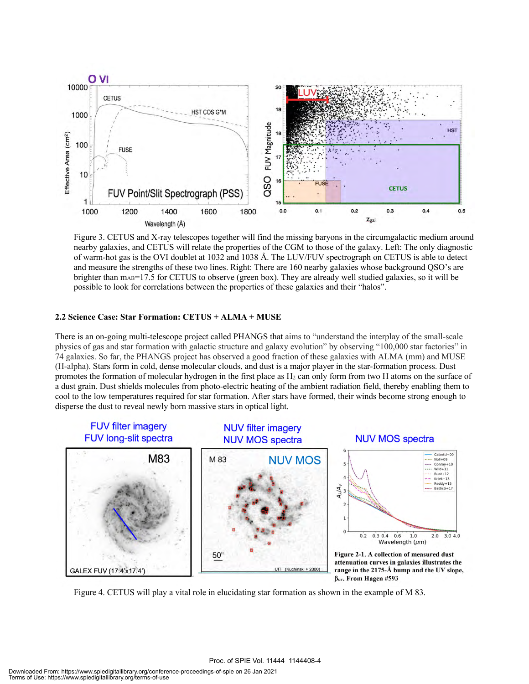

Figure 3. CETUS and X-ray telescopes together will find the missing baryons in the circumgalactic medium around nearby galaxies, and CETUS will relate the properties of the CGM to those of the galaxy. Left: The only diagnostic of warm-hot gas is the OVI doublet at 1032 and 1038 Å. The LUV/FUV spectrograph on CETUS is able to detect and measure the strengths of these two lines. Right: There are 160 nearby galaxies whose background QSO's are brighter than m<sub>AB</sub>=17.5 for CETUS to observe (green box). They are already well studied galaxies, so it will be possible to look for correlations between the properties of these galaxies and their "halos".

#### **2.2 Science Case: Star Formation: CETUS + ALMA + MUSE**

There is an on-going multi-telescope project called PHANGS that aims to "understand the interplay of the small-scale physics of gas and star formation with galactic structure and galaxy evolution" by observing "100,000 star factories" in 74 galaxies. So far, the PHANGS project has observed a good fraction of these galaxies with ALMA (mm) and MUSE (H-alpha). Stars form in cold, dense molecular clouds, and dust is a major player in the star-formation process. Dust promotes the formation of molecular hydrogen in the first place as H2 can only form from two H atoms on the surface of a dust grain. Dust shields molecules from photo-electric heating of the ambient radiation field, thereby enabling them to cool to the low temperatures required for star formation. After stars have formed, their winds become strong enough to disperse the dust to reveal newly born massive stars in optical light.



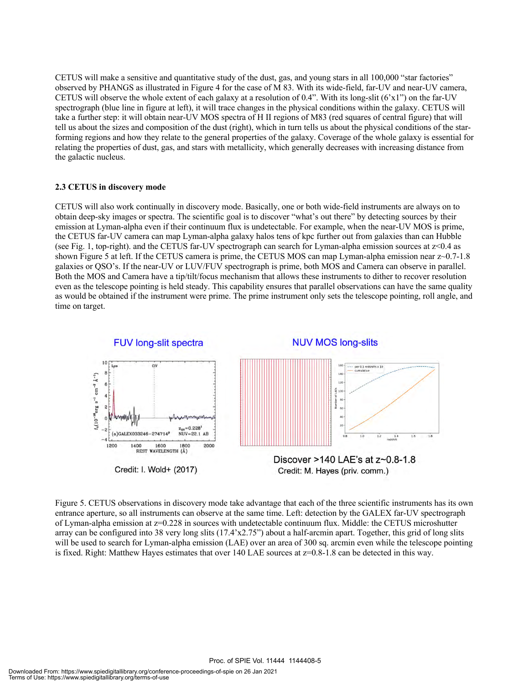CETUS will make a sensitive and quantitative study of the dust, gas, and young stars in all 100,000 "star factories" observed by PHANGS as illustrated in Figure 4 for the case of M 83. With its wide-field, far-UV and near-UV camera, CETUS will observe the whole extent of each galaxy at a resolution of 0.4". With its long-slit  $(6'x1'')$  on the far-UV spectrograph (blue line in figure at left), it will trace changes in the physical conditions within the galaxy. CETUS will take a further step: it will obtain near-UV MOS spectra of H II regions of M83 (red squares of central figure) that will tell us about the sizes and composition of the dust (right), which in turn tells us about the physical conditions of the starforming regions and how they relate to the general properties of the galaxy. Coverage of the whole galaxy is essential for relating the properties of dust, gas, and stars with metallicity, which generally decreases with increasing distance from the galactic nucleus.

#### **2.3 CETUS in discovery mode**

CETUS will also work continually in discovery mode. Basically, one or both wide-field instruments are always on to obtain deep-sky images or spectra. The scientific goal is to discover "what's out there" by detecting sources by their emission at Lyman-alpha even if their continuum flux is undetectable. For example, when the near-UV MOS is prime, the CETUS far-UV camera can map Lyman-alpha galaxy halos tens of kpc further out from galaxies than can Hubble (see Fig. 1, top-right). and the CETUS far-UV spectrograph can search for Lyman-alpha emission sources at z<0.4 as shown Figure 5 at left. If the CETUS camera is prime, the CETUS MOS can map Lyman-alpha emission near z~0.7-1.8 galaxies or QSO's. If the near-UV or LUV/FUV spectrograph is prime, both MOS and Camera can observe in parallel. Both the MOS and Camera have a tip/tilt/focus mechanism that allows these instruments to dither to recover resolution even as the telescope pointing is held steady. This capability ensures that parallel observations can have the same quality as would be obtained if the instrument were prime. The prime instrument only sets the telescope pointing, roll angle, and time on target.



Figure 5. CETUS observations in discovery mode take advantage that each of the three scientific instruments has its own entrance aperture, so all instruments can observe at the same time. Left: detection by the GALEX far-UV spectrograph of Lyman-alpha emission at z=0.228 in sources with undetectable continuum flux. Middle: the CETUS microshutter array can be configured into 38 very long slits (17.4'x2.75") about a half-arcmin apart. Together, this grid of long slits will be used to search for Lyman-alpha emission (LAE) over an area of 300 sq. arcmin even while the telescope pointing is fixed. Right: Matthew Hayes estimates that over 140 LAE sources at z=0.8-1.8 can be detected in this way.

Proc. of SPIE Vol. 11444 1144408-5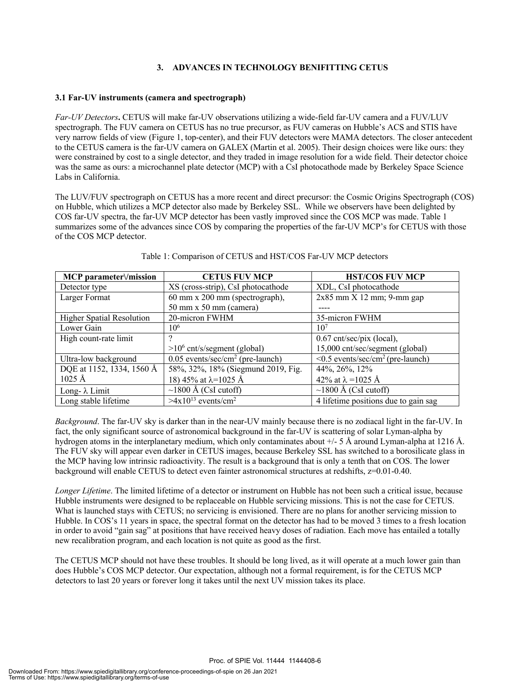#### **3. ADVANCES IN TECHNOLOGY BENIFITTING CETUS**

#### **3.1 Far-UV instruments (camera and spectrograph)**

*Far-UV Detectors***.** CETUS will make far-UV observations utilizing a wide-field far-UV camera and a FUV/LUV spectrograph. The FUV camera on CETUS has no true precursor, as FUV cameras on Hubble's ACS and STIS have very narrow fields of view (Figure 1, top-center), and their FUV detectors were MAMA detectors. The closer antecedent to the CETUS camera is the far-UV camera on GALEX (Martin et al. 2005). Their design choices were like ours: they were constrained by cost to a single detector, and they traded in image resolution for a wide field. Their detector choice was the same as ours: a microchannel plate detector (MCP) with a CsI photocathode made by Berkeley Space Science Labs in California.

The LUV/FUV spectrograph on CETUS has a more recent and direct precursor: the Cosmic Origins Spectrograph (COS) on Hubble, which utilizes a MCP detector also made by Berkeley SSL. While we observers have been delighted by COS far-UV spectra, the far-UV MCP detector has been vastly improved since the COS MCP was made. Table 1 summarizes some of the advances since COS by comparing the properties of the far-UV MCP's for CETUS with those of the COS MCP detector.

| MCP parameter Vmission           | <b>CETUS FUV MCP</b>                           | <b>HST/COS FUV MCP</b>                             |
|----------------------------------|------------------------------------------------|----------------------------------------------------|
| Detector type                    | XS (cross-strip), CsI photocathode             | XDL, CsI photocathode                              |
| Larger Format                    | 60 mm x 200 mm (spectrograph),                 | $2x85$ mm X 12 mm; 9-mm gap                        |
|                                  | 50 mm x 50 mm (camera)                         |                                                    |
| <b>Higher Spatial Resolution</b> | 20-micron FWHM                                 | 35-micron FWHM                                     |
| Lower Gain                       | $10^{6}$                                       | 10 <sup>7</sup>                                    |
| High count-rate limit            |                                                | $0.67$ cnt/sec/pix (local),                        |
|                                  | $>10^6$ cnt/s/segment (global)                 | 15,000 cnt/sec/segment (global)                    |
| Ultra-low background             | $0.05$ events/sec/cm <sup>2</sup> (pre-launch) | $\leq 0.5$ events/sec/cm <sup>2</sup> (pre-launch) |
| DQE at 1152, 1334, 1560 Å        | 58%, 32%, 18% (Siegmund 2019, Fig.             | 44%, 26%, 12%                                      |
| $1025 \text{ Å}$                 | 18) 45% at $\lambda$ =1025 Å                   | 42% at $\lambda$ =1025 Å                           |
| Long- $\lambda$ Limit            | $\sim$ 1800 Å (CsI cutoff)                     | $\sim$ 1800 Å (CsI cutoff)                         |
| Long stable lifetime             | $>4x10^{13}$ events/cm <sup>2</sup>            | 4 lifetime positions due to gain sag               |

#### Table 1: Comparison of CETUS and HST/COS Far-UV MCP detectors

*Background*. The far-UV sky is darker than in the near-UV mainly because there is no zodiacal light in the far-UV. In fact, the only significant source of astronomical background in the far-UV is scattering of solar Lyman-alpha by hydrogen atoms in the interplanetary medium, which only contaminates about +/- 5 Å around Lyman-alpha at 1216 Å. The FUV sky will appear even darker in CETUS images, because Berkeley SSL has switched to a borosilicate glass in the MCP having low intrinsic radioactivity. The result is a background that is only a tenth that on COS. The lower background will enable CETUS to detect even fainter astronomical structures at redshifts, z=0.01-0.40.

*Longer Lifetime*. The limited lifetime of a detector or instrument on Hubble has not been such a critical issue, because Hubble instruments were designed to be replaceable on Hubble servicing missions. This is not the case for CETUS. What is launched stays with CETUS; no servicing is envisioned. There are no plans for another servicing mission to Hubble. In COS's 11 years in space, the spectral format on the detector has had to be moved 3 times to a fresh location in order to avoid "gain sag" at positions that have received heavy doses of radiation. Each move has entailed a totally new recalibration program, and each location is not quite as good as the first.

The CETUS MCP should not have these troubles. It should be long lived, as it will operate at a much lower gain than does Hubble's COS MCP detector. Our expectation, although not a formal requirement, is for the CETUS MCP detectors to last 20 years or forever long it takes until the next UV mission takes its place.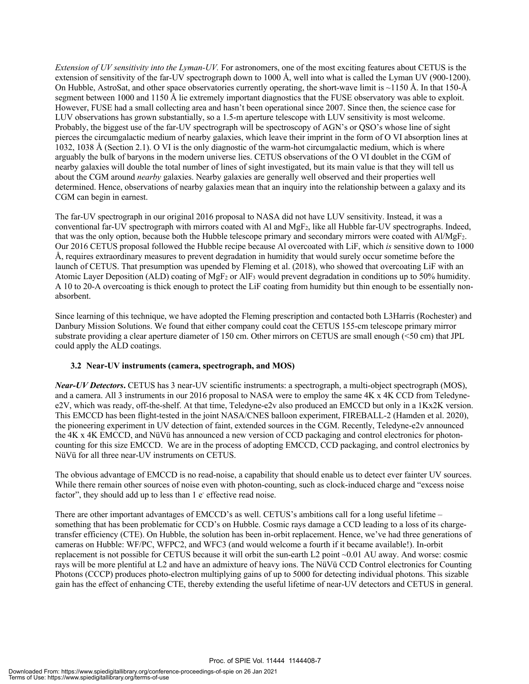*Extension of UV sensitivity into the Lyman-UV.* For astronomers, one of the most exciting features about CETUS is the extension of sensitivity of the far-UV spectrograph down to 1000 Å, well into what is called the Lyman UV (900-1200). On Hubble, AstroSat, and other space observatories currently operating, the short-wave limit is  $\sim$ 1150 Å. In that 150-Å segment between 1000 and 1150 Å lie extremely important diagnostics that the FUSE observatory was able to exploit. However, FUSE had a small collecting area and hasn't been operational since 2007. Since then, the science case for LUV observations has grown substantially, so a 1.5-m aperture telescope with LUV sensitivity is most welcome. Probably, the biggest use of the far-UV spectrograph will be spectroscopy of AGN's or QSO's whose line of sight pierces the circumgalactic medium of nearby galaxies, which leave their imprint in the form of O VI absorption lines at 1032, 1038 Å (Section 2.1). O VI is the only diagnostic of the warm-hot circumgalactic medium, which is where arguably the bulk of baryons in the modern universe lies. CETUS observations of the O VI doublet in the CGM of nearby galaxies will double the total number of lines of sight investigated, but its main value is that they will tell us about the CGM around *nearby* galaxies. Nearby galaxies are generally well observed and their properties well determined. Hence, observations of nearby galaxies mean that an inquiry into the relationship between a galaxy and its CGM can begin in earnest.

The far-UV spectrograph in our original 2016 proposal to NASA did not have LUV sensitivity. Instead, it was a conventional far-UV spectrograph with mirrors coated with Al and MgF2, like all Hubble far-UV spectrographs. Indeed, that was the only option, because both the Hubble telescope primary and secondary mirrors were coated with Al/MgF2. Our 2016 CETUS proposal followed the Hubble recipe because Al overcoated with LiF, which *is* sensitive down to 1000 Å, requires extraordinary measures to prevent degradation in humidity that would surely occur sometime before the launch of CETUS. That presumption was upended by Fleming et al. (2018), who showed that overcoating LiF with an Atomic Layer Deposition (ALD) coating of MgF2 or AlF3 would prevent degradation in conditions up to 50% humidity. A 10 to 20-A overcoating is thick enough to protect the LiF coating from humidity but thin enough to be essentially nonabsorbent.

Since learning of this technique, we have adopted the Fleming prescription and contacted both L3Harris (Rochester) and Danbury Mission Solutions. We found that either company could coat the CETUS 155-cm telescope primary mirror substrate providing a clear aperture diameter of 150 cm. Other mirrors on CETUS are small enough (<50 cm) that JPL could apply the ALD coatings.

#### **3.2 Near-UV instruments (camera, spectrograph, and MOS)**

*Near-UV Detectors*. CETUS has 3 near-UV scientific instruments: a spectrograph, a multi-object spectrograph (MOS), and a camera. All 3 instruments in our 2016 proposal to NASA were to employ the same 4K x 4K CCD from Teledynee2V, which was ready, off-the-shelf. At that time, Teledyne-e2v also produced an EMCCD but only in a 1Kx2K version. This EMCCD has been flight-tested in the joint NASA/CNES balloon experiment, FIREBALL-2 (Hamden et al. 2020), the pioneering experiment in UV detection of faint, extended sources in the CGM. Recently, Teledyne-e2v announced the 4K x 4K EMCCD, and NüVü has announced a new version of CCD packaging and control electronics for photoncounting for this size EMCCD. We are in the process of adopting EMCCD, CCD packaging, and control electronics by NüVü for all three near-UV instruments on CETUS.

The obvious advantage of EMCCD is no read-noise, a capability that should enable us to detect ever fainter UV sources. While there remain other sources of noise even with photon-counting, such as clock-induced charge and "excess noise factor", they should add up to less than 1 e<sup>-</sup> effective read noise.

There are other important advantages of EMCCD's as well. CETUS's ambitions call for a long useful lifetime – something that has been problematic for CCD's on Hubble. Cosmic rays damage a CCD leading to a loss of its chargetransfer efficiency (CTE). On Hubble, the solution has been in-orbit replacement. Hence, we've had three generations of cameras on Hubble: WF/PC, WFPC2, and WFC3 (and would welcome a fourth if it became available!). In-orbit replacement is not possible for CETUS because it will orbit the sun-earth L2 point ~0.01 AU away. And worse: cosmic rays will be more plentiful at L2 and have an admixture of heavy ions. The NüVü CCD Control electronics for Counting Photons (CCCP) produces photo-electron multiplying gains of up to 5000 for detecting individual photons. This sizable gain has the effect of enhancing CTE, thereby extending the useful lifetime of near-UV detectors and CETUS in general.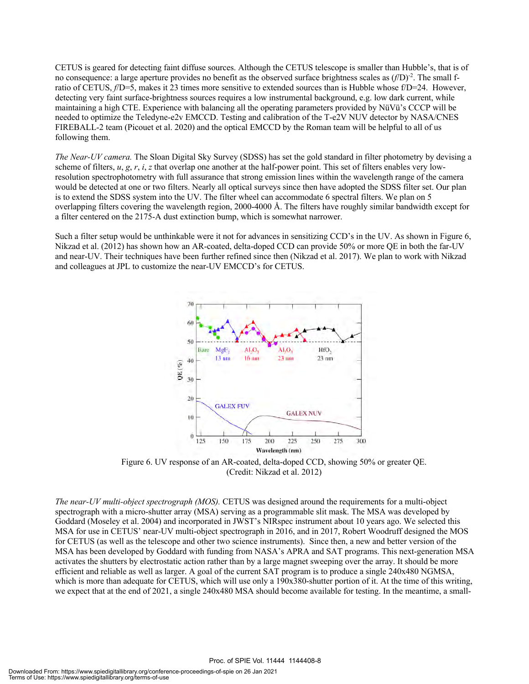CETUS is geared for detecting faint diffuse sources. Although the CETUS telescope is smaller than Hubble's, that is of no consequence: a large aperture provides no benefit as the observed surface brightness scales as  $(f/D)^2$ . The small fratio of CETUS, *f*/D=5, makes it 23 times more sensitive to extended sources than is Hubble whose f/D=24. However, detecting very faint surface-brightness sources requires a low instrumental background, e.g. low dark current, while maintaining a high CTE. Experience with balancing all the operating parameters provided by NüVü's CCCP will be needed to optimize the Teledyne-e2v EMCCD. Testing and calibration of the T-e2V NUV detector by NASA/CNES FIREBALL-2 team (Picouet et al. 2020) and the optical EMCCD by the Roman team will be helpful to all of us following them.

*The Near-UV camera.* The Sloan Digital Sky Survey (SDSS) has set the gold standard in filter photometry by devising a scheme of filters,  $u$ ,  $g$ ,  $r$ ,  $i$ ,  $z$  that overlap one another at the half-power point. This set of filters enables very lowresolution spectrophotometry with full assurance that strong emission lines within the wavelength range of the camera would be detected at one or two filters. Nearly all optical surveys since then have adopted the SDSS filter set. Our plan is to extend the SDSS system into the UV. The filter wheel can accommodate 6 spectral filters. We plan on 5 overlapping filters covering the wavelength region, 2000-4000 Å. The filters have roughly similar bandwidth except for a filter centered on the 2175-A dust extinction bump, which is somewhat narrower.

Such a filter setup would be unthinkable were it not for advances in sensitizing CCD's in the UV. As shown in Figure 6, Nikzad et al. (2012) has shown how an AR-coated, delta-doped CCD can provide 50% or more QE in both the far-UV and near-UV. Their techniques have been further refined since then (Nikzad et al. 2017). We plan to work with Nikzad and colleagues at JPL to customize the near-UV EMCCD's for CETUS.



Figure 6. UV response of an AR-coated, delta-doped CCD, showing 50% or greater QE. (Credit: Nikzad et al. 2012)

*The near-UV multi-object spectrograph (MOS).* CETUS was designed around the requirements for a multi-object spectrograph with a micro-shutter array (MSA) serving as a programmable slit mask. The MSA was developed by Goddard (Moseley et al. 2004) and incorporated in JWST's NIRspec instrument about 10 years ago. We selected this MSA for use in CETUS' near-UV multi-object spectrograph in 2016, and in 2017, Robert Woodruff designed the MOS for CETUS (as well as the telescope and other two science instruments). Since then, a new and better version of the MSA has been developed by Goddard with funding from NASA's APRA and SAT programs. This next-generation MSA activates the shutters by electrostatic action rather than by a large magnet sweeping over the array. It should be more efficient and reliable as well as larger. A goal of the current SAT program is to produce a single 240x480 NGMSA, which is more than adequate for CETUS, which will use only a 190x380-shutter portion of it. At the time of this writing, we expect that at the end of 2021, a single 240x480 MSA should become available for testing. In the meantime, a small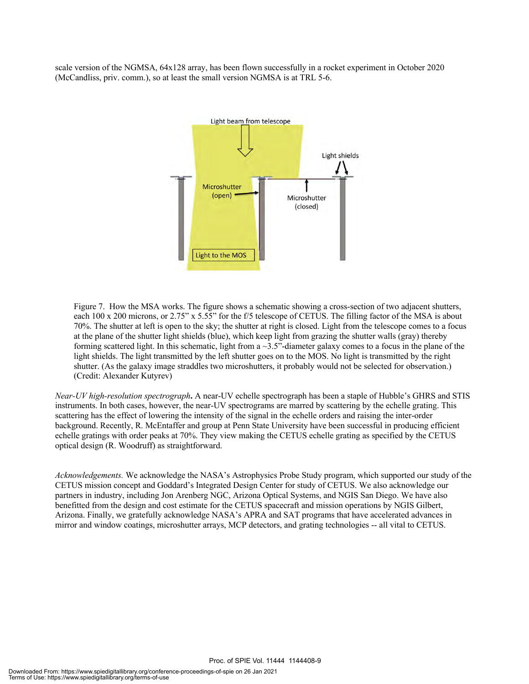scale version of the NGMSA, 64x128 array, has been flown successfully in a rocket experiment in October 2020 (McCandliss, priv. comm.), so at least the small version NGMSA is at TRL 5-6.



Figure 7. How the MSA works. The figure shows a schematic showing a cross-section of two adjacent shutters, each 100 x 200 microns, or 2.75" x 5.55" for the f/5 telescope of CETUS. The filling factor of the MSA is about 70%. The shutter at left is open to the sky; the shutter at right is closed. Light from the telescope comes to a focus at the plane of the shutter light shields (blue), which keep light from grazing the shutter walls (gray) thereby forming scattered light. In this schematic, light from a  $\sim$ 3.5"-diameter galaxy comes to a focus in the plane of the light shields. The light transmitted by the left shutter goes on to the MOS. No light is transmitted by the right shutter. (As the galaxy image straddles two microshutters, it probably would not be selected for observation.) (Credit: Alexander Kutyrev)

*Near-UV high-resolution spectrograph***.** A near-UV echelle spectrograph has been a staple of Hubble's GHRS and STIS instruments. In both cases, however, the near-UV spectrograms are marred by scattering by the echelle grating. This scattering has the effect of lowering the intensity of the signal in the echelle orders and raising the inter-order background. Recently, R. McEntaffer and group at Penn State University have been successful in producing efficient echelle gratings with order peaks at 70%. They view making the CETUS echelle grating as specified by the CETUS optical design (R. Woodruff) as straightforward.

*Acknowledgements.* We acknowledge the NASA's Astrophysics Probe Study program, which supported our study of the CETUS mission concept and Goddard's Integrated Design Center for study of CETUS. We also acknowledge our partners in industry, including Jon Arenberg NGC, Arizona Optical Systems, and NGIS San Diego. We have also benefitted from the design and cost estimate for the CETUS spacecraft and mission operations by NGIS Gilbert, Arizona. Finally, we gratefully acknowledge NASA's APRA and SAT programs that have accelerated advances in mirror and window coatings, microshutter arrays, MCP detectors, and grating technologies -- all vital to CETUS.